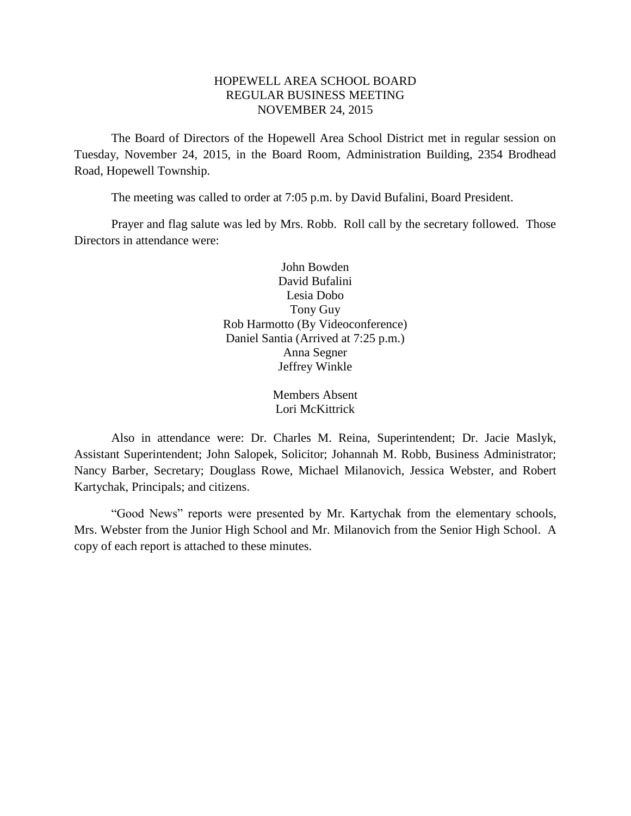## HOPEWELL AREA SCHOOL BOARD REGULAR BUSINESS MEETING NOVEMBER 24, 2015

The Board of Directors of the Hopewell Area School District met in regular session on Tuesday, November 24, 2015, in the Board Room, Administration Building, 2354 Brodhead Road, Hopewell Township.

The meeting was called to order at 7:05 p.m. by David Bufalini, Board President.

Prayer and flag salute was led by Mrs. Robb. Roll call by the secretary followed. Those Directors in attendance were:

> John Bowden David Bufalini Lesia Dobo Tony Guy Rob Harmotto (By Videoconference) Daniel Santia (Arrived at 7:25 p.m.) Anna Segner Jeffrey Winkle

> > Members Absent Lori McKittrick

Also in attendance were: Dr. Charles M. Reina, Superintendent; Dr. Jacie Maslyk, Assistant Superintendent; John Salopek, Solicitor; Johannah M. Robb, Business Administrator; Nancy Barber, Secretary; Douglass Rowe, Michael Milanovich, Jessica Webster, and Robert Kartychak, Principals; and citizens.

"Good News" reports were presented by Mr. Kartychak from the elementary schools, Mrs. Webster from the Junior High School and Mr. Milanovich from the Senior High School. A copy of each report is attached to these minutes.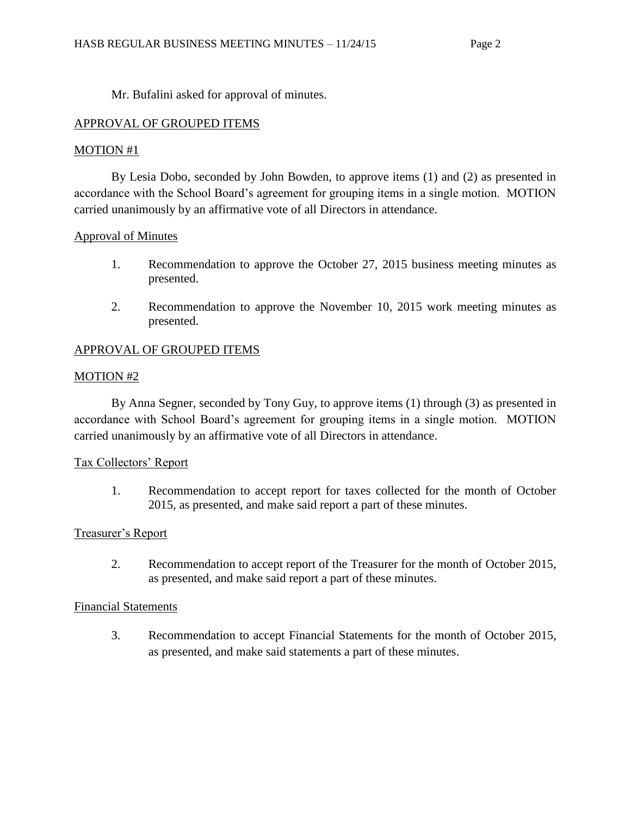Mr. Bufalini asked for approval of minutes.

# APPROVAL OF GROUPED ITEMS

## MOTION #1

By Lesia Dobo, seconded by John Bowden, to approve items (1) and (2) as presented in accordance with the School Board's agreement for grouping items in a single motion. MOTION carried unanimously by an affirmative vote of all Directors in attendance.

# Approval of Minutes

- 1. Recommendation to approve the October 27, 2015 business meeting minutes as presented.
- 2. Recommendation to approve the November 10, 2015 work meeting minutes as presented.

# APPROVAL OF GROUPED ITEMS

## MOTION #2

By Anna Segner, seconded by Tony Guy, to approve items (1) through (3) as presented in accordance with School Board's agreement for grouping items in a single motion. MOTION carried unanimously by an affirmative vote of all Directors in attendance.

## Tax Collectors' Report

1. Recommendation to accept report for taxes collected for the month of October 2015, as presented, and make said report a part of these minutes.

## Treasurer's Report

2. Recommendation to accept report of the Treasurer for the month of October 2015, as presented, and make said report a part of these minutes.

## Financial Statements

3. Recommendation to accept Financial Statements for the month of October 2015, as presented, and make said statements a part of these minutes.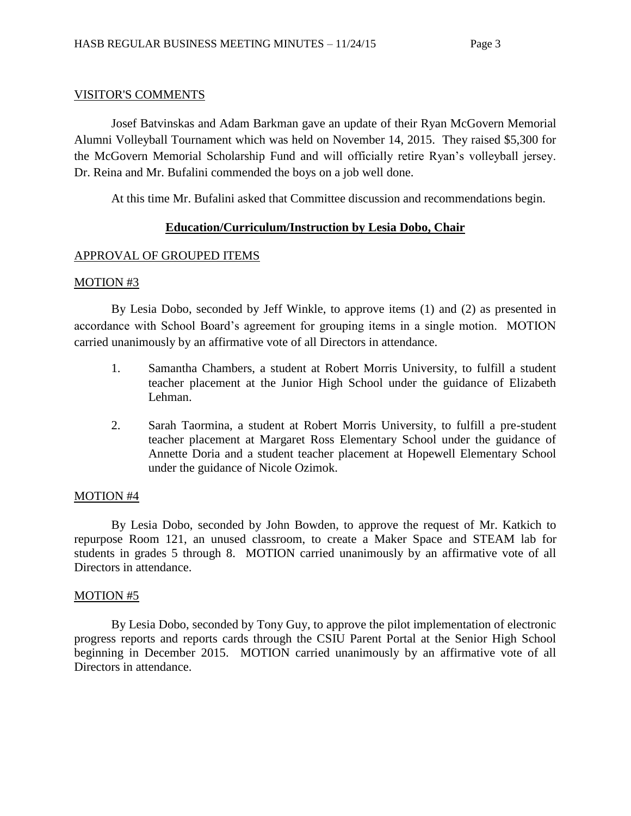## VISITOR'S COMMENTS

Josef Batvinskas and Adam Barkman gave an update of their Ryan McGovern Memorial Alumni Volleyball Tournament which was held on November 14, 2015. They raised \$5,300 for the McGovern Memorial Scholarship Fund and will officially retire Ryan's volleyball jersey. Dr. Reina and Mr. Bufalini commended the boys on a job well done.

At this time Mr. Bufalini asked that Committee discussion and recommendations begin.

# **Education/Curriculum/Instruction by Lesia Dobo, Chair**

# APPROVAL OF GROUPED ITEMS

## MOTION #3

By Lesia Dobo, seconded by Jeff Winkle, to approve items (1) and (2) as presented in accordance with School Board's agreement for grouping items in a single motion. MOTION carried unanimously by an affirmative vote of all Directors in attendance.

- 1. Samantha Chambers, a student at Robert Morris University, to fulfill a student teacher placement at the Junior High School under the guidance of Elizabeth Lehman.
- 2. Sarah Taormina, a student at Robert Morris University, to fulfill a pre-student teacher placement at Margaret Ross Elementary School under the guidance of Annette Doria and a student teacher placement at Hopewell Elementary School under the guidance of Nicole Ozimok.

## MOTION #4

By Lesia Dobo, seconded by John Bowden, to approve the request of Mr. Katkich to repurpose Room 121, an unused classroom, to create a Maker Space and STEAM lab for students in grades 5 through 8. MOTION carried unanimously by an affirmative vote of all Directors in attendance.

## MOTION #5

By Lesia Dobo, seconded by Tony Guy, to approve the pilot implementation of electronic progress reports and reports cards through the CSIU Parent Portal at the Senior High School beginning in December 2015. MOTION carried unanimously by an affirmative vote of all Directors in attendance.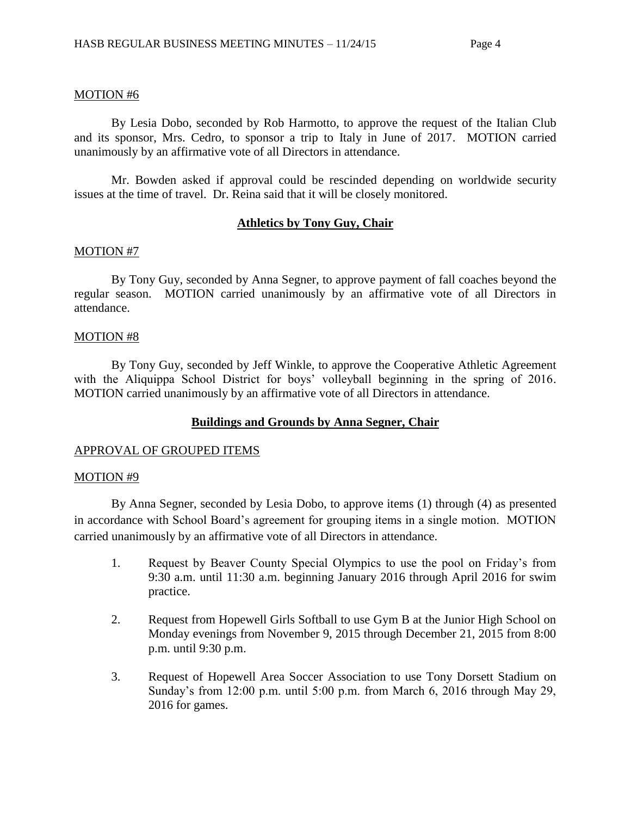## MOTION #6

By Lesia Dobo, seconded by Rob Harmotto, to approve the request of the Italian Club and its sponsor, Mrs. Cedro, to sponsor a trip to Italy in June of 2017. MOTION carried unanimously by an affirmative vote of all Directors in attendance.

Mr. Bowden asked if approval could be rescinded depending on worldwide security issues at the time of travel. Dr. Reina said that it will be closely monitored.

#### **Athletics by Tony Guy, Chair**

#### MOTION #7

By Tony Guy, seconded by Anna Segner, to approve payment of fall coaches beyond the regular season. MOTION carried unanimously by an affirmative vote of all Directors in attendance.

#### MOTION #8

By Tony Guy, seconded by Jeff Winkle, to approve the Cooperative Athletic Agreement with the Aliquippa School District for boys' volleyball beginning in the spring of 2016. MOTION carried unanimously by an affirmative vote of all Directors in attendance.

## **Buildings and Grounds by Anna Segner, Chair**

## APPROVAL OF GROUPED ITEMS

#### MOTION #9

By Anna Segner, seconded by Lesia Dobo, to approve items (1) through (4) as presented in accordance with School Board's agreement for grouping items in a single motion. MOTION carried unanimously by an affirmative vote of all Directors in attendance.

- 1. Request by Beaver County Special Olympics to use the pool on Friday's from 9:30 a.m. until 11:30 a.m. beginning January 2016 through April 2016 for swim practice.
- 2. Request from Hopewell Girls Softball to use Gym B at the Junior High School on Monday evenings from November 9, 2015 through December 21, 2015 from 8:00 p.m. until 9:30 p.m.
- 3. Request of Hopewell Area Soccer Association to use Tony Dorsett Stadium on Sunday's from 12:00 p.m. until 5:00 p.m. from March 6, 2016 through May 29, 2016 for games.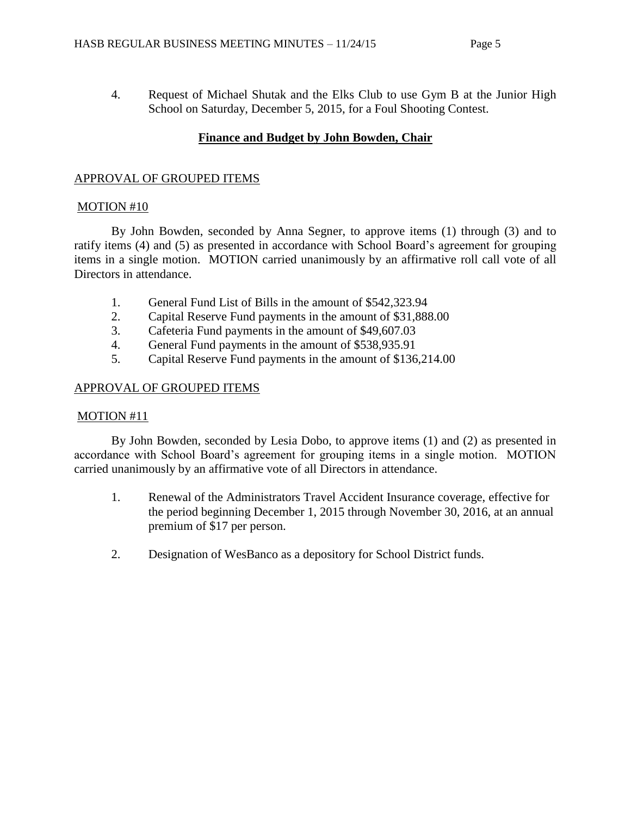4. Request of Michael Shutak and the Elks Club to use Gym B at the Junior High School on Saturday, December 5, 2015, for a Foul Shooting Contest.

# **Finance and Budget by John Bowden, Chair**

# APPROVAL OF GROUPED ITEMS

## MOTION #10

By John Bowden, seconded by Anna Segner, to approve items (1) through (3) and to ratify items (4) and (5) as presented in accordance with School Board's agreement for grouping items in a single motion. MOTION carried unanimously by an affirmative roll call vote of all Directors in attendance.

- 1. General Fund List of Bills in the amount of \$542,323.94
- 2. Capital Reserve Fund payments in the amount of \$31,888.00
- 3. Cafeteria Fund payments in the amount of \$49,607.03
- 4. General Fund payments in the amount of \$538,935.91
- 5. Capital Reserve Fund payments in the amount of \$136,214.00

## APPROVAL OF GROUPED ITEMS

## MOTION #11

By John Bowden, seconded by Lesia Dobo, to approve items (1) and (2) as presented in accordance with School Board's agreement for grouping items in a single motion. MOTION carried unanimously by an affirmative vote of all Directors in attendance.

- 1. Renewal of the Administrators Travel Accident Insurance coverage, effective for the period beginning December 1, 2015 through November 30, 2016, at an annual premium of \$17 per person.
- 2. Designation of WesBanco as a depository for School District funds.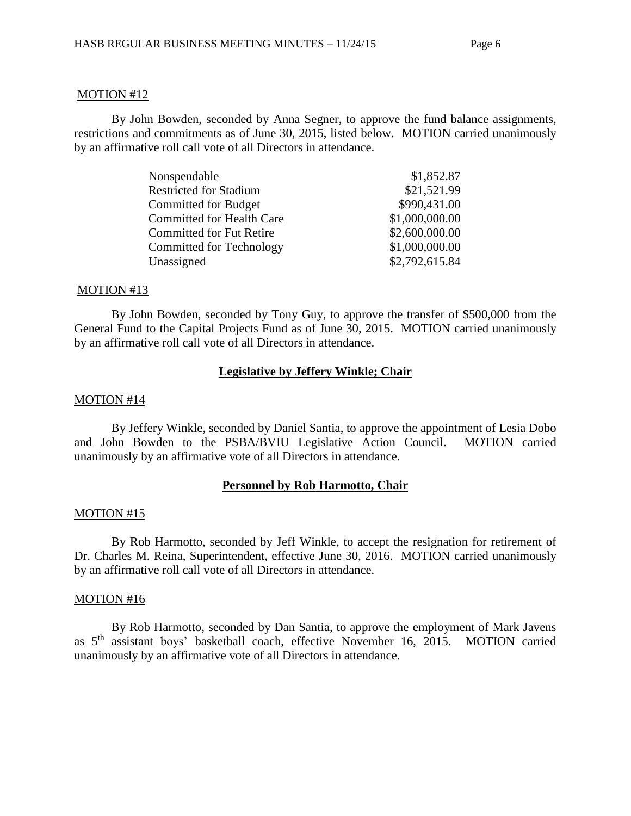#### MOTION #12

By John Bowden, seconded by Anna Segner, to approve the fund balance assignments, restrictions and commitments as of June 30, 2015, listed below. MOTION carried unanimously by an affirmative roll call vote of all Directors in attendance.

| Nonspendable                     | \$1,852.87     |
|----------------------------------|----------------|
| <b>Restricted for Stadium</b>    | \$21,521.99    |
| Committed for Budget             | \$990,431.00   |
| <b>Committed for Health Care</b> | \$1,000,000.00 |
| <b>Committed for Fut Retire</b>  | \$2,600,000.00 |
| Committed for Technology         | \$1,000,000.00 |
| Unassigned                       | \$2,792,615.84 |

#### MOTION #13

By John Bowden, seconded by Tony Guy, to approve the transfer of \$500,000 from the General Fund to the Capital Projects Fund as of June 30, 2015. MOTION carried unanimously by an affirmative roll call vote of all Directors in attendance.

#### **Legislative by Jeffery Winkle; Chair**

#### MOTION #14

By Jeffery Winkle, seconded by Daniel Santia, to approve the appointment of Lesia Dobo and John Bowden to the PSBA/BVIU Legislative Action Council. MOTION carried unanimously by an affirmative vote of all Directors in attendance.

#### **Personnel by Rob Harmotto, Chair**

#### MOTION #15

By Rob Harmotto, seconded by Jeff Winkle, to accept the resignation for retirement of Dr. Charles M. Reina, Superintendent, effective June 30, 2016. MOTION carried unanimously by an affirmative roll call vote of all Directors in attendance.

#### MOTION #16

By Rob Harmotto, seconded by Dan Santia, to approve the employment of Mark Javens as 5th assistant boys' basketball coach, effective November 16, 2015. MOTION carried unanimously by an affirmative vote of all Directors in attendance.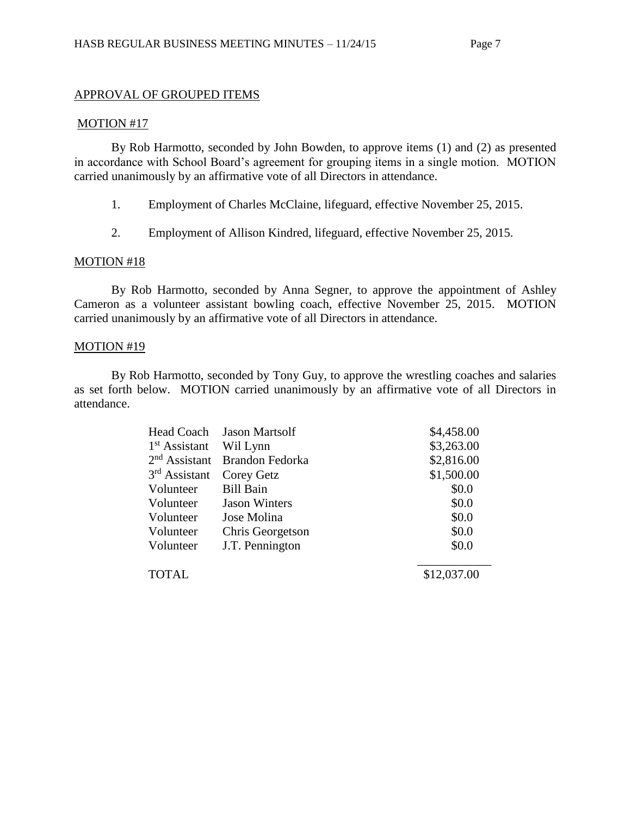## APPROVAL OF GROUPED ITEMS

#### MOTION #17

By Rob Harmotto, seconded by John Bowden, to approve items (1) and (2) as presented in accordance with School Board's agreement for grouping items in a single motion. MOTION carried unanimously by an affirmative vote of all Directors in attendance.

- 1. Employment of Charles McClaine, lifeguard, effective November 25, 2015.
- 2. Employment of Allison Kindred, lifeguard, effective November 25, 2015.

#### MOTION #18

By Rob Harmotto, seconded by Anna Segner, to approve the appointment of Ashley Cameron as a volunteer assistant bowling coach, effective November 25, 2015. MOTION carried unanimously by an affirmative vote of all Directors in attendance.

#### MOTION #19

By Rob Harmotto, seconded by Tony Guy, to approve the wrestling coaches and salaries as set forth below. MOTION carried unanimously by an affirmative vote of all Directors in attendance.

|                 | Head Coach Jason Martsolf                 | \$4,458.00  |
|-----------------|-------------------------------------------|-------------|
| $1st$ Assistant | Wil Lynn                                  | \$3,263.00  |
|                 | 2 <sup>nd</sup> Assistant Brandon Fedorka | \$2,816.00  |
| $3rd$ Assistant | Corey Getz                                | \$1,500.00  |
| Volunteer       | <b>Bill Bain</b>                          | \$0.0       |
| Volunteer       | <b>Jason Winters</b>                      | \$0.0       |
| Volunteer       | Jose Molina                               | \$0.0       |
| Volunteer       | Chris Georgetson                          | \$0.0       |
| Volunteer       | J.T. Pennington                           | \$0.0       |
| <b>TOTAL</b>    |                                           | \$12,037.00 |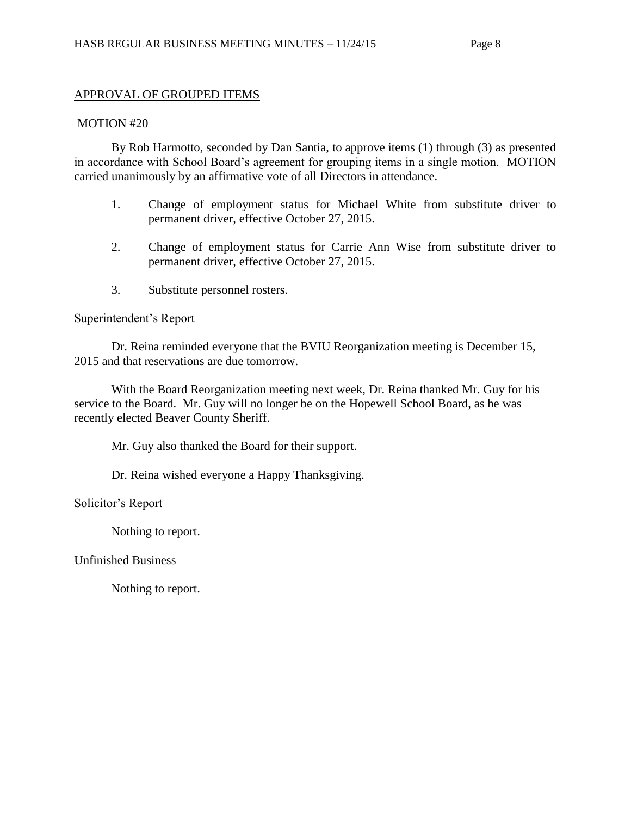# APPROVAL OF GROUPED ITEMS

#### MOTION #20

By Rob Harmotto, seconded by Dan Santia, to approve items (1) through (3) as presented in accordance with School Board's agreement for grouping items in a single motion. MOTION carried unanimously by an affirmative vote of all Directors in attendance.

- 1. Change of employment status for Michael White from substitute driver to permanent driver, effective October 27, 2015.
- 2. Change of employment status for Carrie Ann Wise from substitute driver to permanent driver, effective October 27, 2015.
- 3. Substitute personnel rosters.

#### Superintendent's Report

Dr. Reina reminded everyone that the BVIU Reorganization meeting is December 15, 2015 and that reservations are due tomorrow.

With the Board Reorganization meeting next week, Dr. Reina thanked Mr. Guy for his service to the Board. Mr. Guy will no longer be on the Hopewell School Board, as he was recently elected Beaver County Sheriff.

Mr. Guy also thanked the Board for their support.

Dr. Reina wished everyone a Happy Thanksgiving.

## Solicitor's Report

Nothing to report.

## Unfinished Business

Nothing to report.